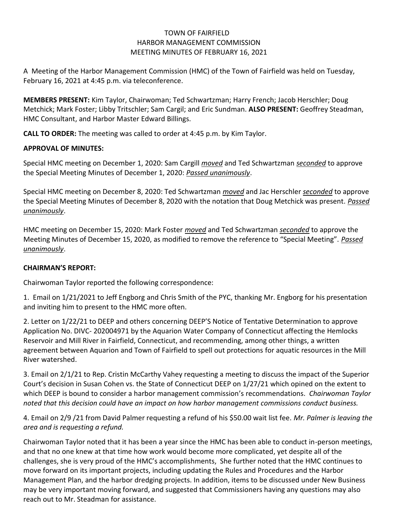## TOWN OF FAIRFIELD HARBOR MANAGEMENT COMMISSION MEETING MINUTES OF FEBRUARY 16, 2021

A Meeting of the Harbor Management Commission (HMC) of the Town of Fairfield was held on Tuesday, February 16, 2021 at 4:45 p.m. via teleconference.

**MEMBERS PRESENT:** Kim Taylor, Chairwoman; Ted Schwartzman; Harry French; Jacob Herschler; Doug Metchick; Mark Foster; Libby Tritschler; Sam Cargil; and Eric Sundman. **ALSO PRESENT:** Geoffrey Steadman, HMC Consultant, and Harbor Master Edward Billings.

**CALL TO ORDER:** The meeting was called to order at 4:45 p.m. by Kim Taylor.

# **APPROVAL OF MINUTES:**

Special HMC meeting on December 1, 2020: Sam Cargill *moved* and Ted Schwartzman *seconded* to approve the Special Meeting Minutes of December 1, 2020: *Passed unanimously*.

Special HMC meeting on December 8, 2020: Ted Schwartzman *moved* and Jac Herschler *seconded* to approve the Special Meeting Minutes of December 8, 2020 with the notation that Doug Metchick was present. *Passed unanimously*.

HMC meeting on December 15, 2020: Mark Foster *moved* and Ted Schwartzman *seconded* to approve the Meeting Minutes of December 15, 2020, as modified to remove the reference to "Special Meeting". *Passed unanimously*.

## **CHAIRMAN'S REPORT:**

Chairwoman Taylor reported the following correspondence:

1. Email on 1/21/2021 to Jeff Engborg and Chris Smith of the PYC, thanking Mr. Engborg for his presentation and inviting him to present to the HMC more often.

2. Letter on 1/22/21 to DEEP and others concerning DEEP'S Notice of Tentative Determination to approve Application No. DIVC- 202004971 by the Aquarion Water Company of Connecticut affecting the Hemlocks Reservoir and Mill River in Fairfield, Connecticut, and recommending, among other things, a written agreement between Aquarion and Town of Fairfield to spell out protections for aquatic resources in the Mill River watershed.

3. Email on 2/1/21 to Rep. Cristin McCarthy Vahey requesting a meeting to discuss the impact of the Superior Court's decision in Susan Cohen vs. the State of Connecticut DEEP on 1/27/21 which opined on the extent to which DEEP is bound to consider a harbor management commission's recommendations. *Chairwoman Taylor noted that this decision could have an impact on how harbor management commissions conduct business.*

4. Email on 2/9 /21 from David Palmer requesting a refund of his \$50.00 wait list fee. *Mr. Palmer is leaving the area and is requesting a refund.*

Chairwoman Taylor noted that it has been a year since the HMC has been able to conduct in-person meetings, and that no one knew at that time how work would become more complicated, yet despite all of the challenges, she is very proud of the HMC's accomplishments, She further noted that the HMC continues to move forward on its important projects, including updating the Rules and Procedures and the Harbor Management Plan, and the harbor dredging projects. In addition, items to be discussed under New Business may be very important moving forward, and suggested that Commissioners having any questions may also reach out to Mr. Steadman for assistance.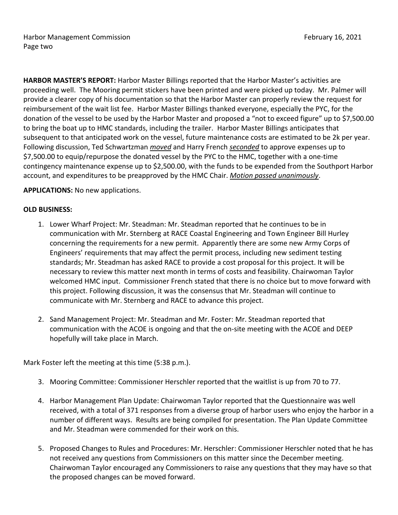Harbor Management Commission **February 16, 2021** Page two

**HARBOR MASTER'S REPORT:** Harbor Master Billings reported that the Harbor Master's activities are proceeding well. The Mooring permit stickers have been printed and were picked up today. Mr. Palmer will provide a clearer copy of his documentation so that the Harbor Master can properly review the request for reimbursement of the wait list fee. Harbor Master Billings thanked everyone, especially the PYC, for the donation of the vessel to be used by the Harbor Master and proposed a "not to exceed figure" up to \$7,500.00 to bring the boat up to HMC standards, including the trailer. Harbor Master Billings anticipates that subsequent to that anticipated work on the vessel, future maintenance costs are estimated to be 2k per year. Following discussion, Ted Schwartzman *moved* and Harry French *seconded* to approve expenses up to \$7,500.00 to equip/repurpose the donated vessel by the PYC to the HMC, together with a one-time contingency maintenance expense up to \$2,500.00, with the funds to be expended from the Southport Harbor account, and expenditures to be preapproved by the HMC Chair. *Motion passed unanimously*.

### **APPLICATIONS:** No new applications.

### **OLD BUSINESS:**

- 1. Lower Wharf Project: Mr. Steadman: Mr. Steadman reported that he continues to be in communication with Mr. Sternberg at RACE Coastal Engineering and Town Engineer Bill Hurley concerning the requirements for a new permit. Apparently there are some new Army Corps of Engineers' requirements that may affect the permit process, including new sediment testing standards; Mr. Steadman has asked RACE to provide a cost proposal for this project. It will be necessary to review this matter next month in terms of costs and feasibility. Chairwoman Taylor welcomed HMC input. Commissioner French stated that there is no choice but to move forward with this project. Following discussion, it was the consensus that Mr. Steadman will continue to communicate with Mr. Sternberg and RACE to advance this project.
- 2. Sand Management Project: Mr. Steadman and Mr. Foster: Mr. Steadman reported that communication with the ACOE is ongoing and that the on-site meeting with the ACOE and DEEP hopefully will take place in March.

Mark Foster left the meeting at this time (5:38 p.m.).

- 3. Mooring Committee: Commissioner Herschler reported that the waitlist is up from 70 to 77.
- 4. Harbor Management Plan Update: Chairwoman Taylor reported that the Questionnaire was well received, with a total of 371 responses from a diverse group of harbor users who enjoy the harbor in a number of different ways. Results are being compiled for presentation. The Plan Update Committee and Mr. Steadman were commended for their work on this.
- 5. Proposed Changes to Rules and Procedures: Mr. Herschler: Commissioner Herschler noted that he has not received any questions from Commissioners on this matter since the December meeting. Chairwoman Taylor encouraged any Commissioners to raise any questions that they may have so that the proposed changes can be moved forward.